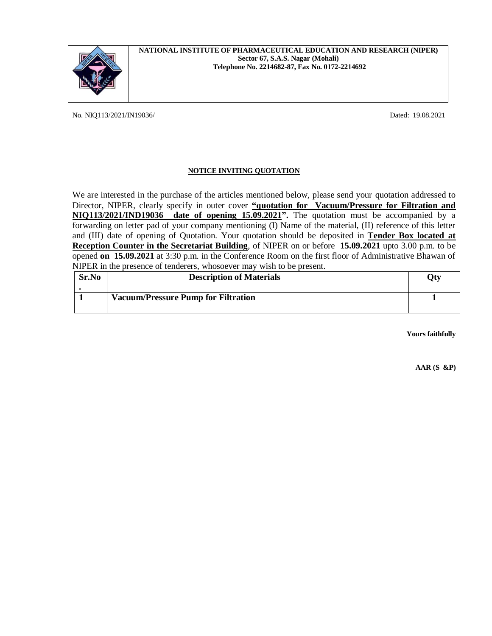

## **NATIONAL INSTITUTE OF PHARMACEUTICAL EDUCATION AND RESEARCH (NIPER) Sector 67, S.A.S. Nagar (Mohali) Telephone No. 2214682-87, Fax No. 0172-2214692**

No. NIQ113/2021/IN19036/ Dated: 19.08.2021

# **NOTICE INVITING QUOTATION**

We are interested in the purchase of the articles mentioned below, please send your quotation addressed to Director, NIPER, clearly specify in outer cover **"quotation for Vacuum/Pressure for Filtration and NIQ113/2021/IND19036 date of opening 15.09.2021".** The quotation must be accompanied by a forwarding on letter pad of your company mentioning (I) Name of the material, (II) reference of this letter and (III) date of opening of Quotation. Your quotation should be deposited in **Tender Box located at Reception Counter in the Secretariat Building**, of NIPER on or before **15.09.2021** upto 3.00 p.m. to be opened **on 15.09.2021** at 3:30 p.m. in the Conference Room on the first floor of Administrative Bhawan of NIPER in the presence of tenderers, whosoever may wish to be present.

| Sr.No | <b>Description of Materials</b>            | Qty |
|-------|--------------------------------------------|-----|
|       |                                            |     |
|       | <b>Vacuum/Pressure Pump for Filtration</b> |     |
|       |                                            |     |

**Yours faithfully**

**AAR (S &P)**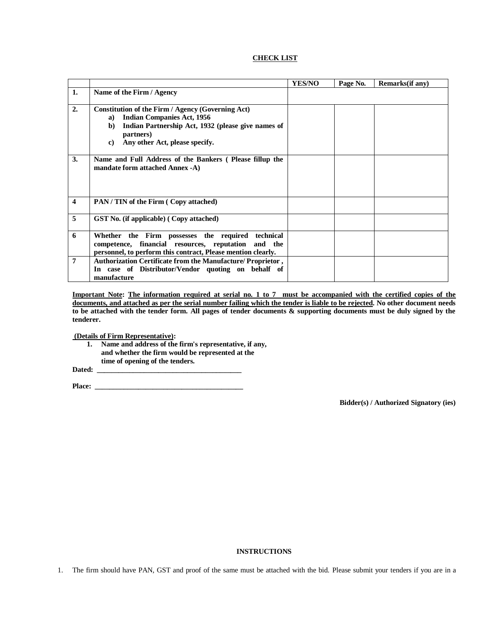### **CHECK LIST**

|    |                                                                                                                                                                                                                     | <b>YES/NO</b> | Page No. | Remarks(if any) |
|----|---------------------------------------------------------------------------------------------------------------------------------------------------------------------------------------------------------------------|---------------|----------|-----------------|
| 1. | Name of the Firm / Agency                                                                                                                                                                                           |               |          |                 |
| 2. | Constitution of the Firm / Agency (Governing Act)<br><b>Indian Companies Act, 1956</b><br>a)<br>Indian Partnership Act, 1932 (please give names of<br>b)<br>partners)<br>Any other Act, please specify.<br>$\bf c)$ |               |          |                 |
| 3. | Name and Full Address of the Bankers (Please fillup the<br>mandate form attached Annex -A)                                                                                                                          |               |          |                 |
| 4  | <b>PAN/TIN of the Firm (Copy attached)</b>                                                                                                                                                                          |               |          |                 |
| 5  | <b>GST</b> No. (if applicable) (Copy attached)                                                                                                                                                                      |               |          |                 |
| 6  | Whether the Firm possesses the required technical<br>competence, financial resources, reputation and the<br>personnel, to perform this contract, Please mention clearly.                                            |               |          |                 |
| 7  | Authorization Certificate from the Manufacture/ Proprietor,<br>In case of Distributor/Vendor quoting on behalf of<br>manufacture                                                                                    |               |          |                 |

**Important Note: The information required at serial no. 1 to 7 must be accompanied with the certified copies of the documents, and attached as per the serial number failing which the tender is liable to be rejected. No other document needs to be attached with the tender form. All pages of tender documents & supporting documents must be duly signed by the tenderer.**

**(Details of Firm Representative):**

**1. Name and address of the firm's representative, if any, and whether the firm would be represented at the time of opening of the tenders.**

Dated:

**Place: \_\_\_\_\_\_\_\_\_\_\_\_\_\_\_\_\_\_\_\_\_\_\_\_\_\_\_\_\_\_\_\_\_\_\_\_\_\_\_\_\_**

 **Bidder(s) / Authorized Signatory (ies)**

#### **INSTRUCTIONS**

1. The firm should have PAN, GST and proof of the same must be attached with the bid. Please submit your tenders if you are in a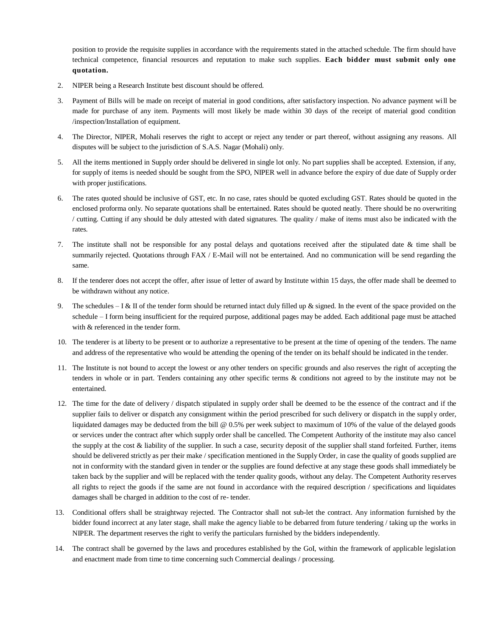position to provide the requisite supplies in accordance with the requirements stated in the attached schedule. The firm should have technical competence, financial resources and reputation to make such supplies. **Each bidder must submit only one quotation.**

- 2. NIPER being a Research Institute best discount should be offered.
- 3. Payment of Bills will be made on receipt of material in good conditions, after satisfactory inspection. No advance payment will be made for purchase of any item. Payments will most likely be made within 30 days of the receipt of material good condition /inspection/Installation of equipment.
- 4. The Director, NIPER, Mohali reserves the right to accept or reject any tender or part thereof, without assigning any reasons. All disputes will be subject to the jurisdiction of S.A.S. Nagar (Mohali) only.
- 5. All the items mentioned in Supply order should be delivered in single lot only. No part supplies shall be accepted. Extension, if any, for supply of items is needed should be sought from the SPO, NIPER well in advance before the expiry of due date of Supply order with proper justifications.
- 6. The rates quoted should be inclusive of GST, etc. In no case, rates should be quoted excluding GST. Rates should be quoted in the enclosed proforma only. No separate quotations shall be entertained. Rates should be quoted neatly. There should be no overwriting / cutting. Cutting if any should be duly attested with dated signatures. The quality / make of items must also be indicated with the rates.
- 7. The institute shall not be responsible for any postal delays and quotations received after the stipulated date & time shall be summarily rejected. Quotations through FAX / E-Mail will not be entertained. And no communication will be send regarding the same.
- 8. If the tenderer does not accept the offer, after issue of letter of award by Institute within 15 days, the offer made shall be deemed to be withdrawn without any notice.
- 9. The schedules I & II of the tender form should be returned intact duly filled up & signed. In the event of the space provided on the schedule – I form being insufficient for the required purpose, additional pages may be added. Each additional page must be attached with & referenced in the tender form.
- 10. The tenderer is at liberty to be present or to authorize a representative to be present at the time of opening of the tenders. The name and address of the representative who would be attending the opening of the tender on its behalf should be indicated in the tender.
- 11. The Institute is not bound to accept the lowest or any other tenders on specific grounds and also reserves the right of accepting the tenders in whole or in part. Tenders containing any other specific terms & conditions not agreed to by the institute may not be entertained.
- 12. The time for the date of delivery / dispatch stipulated in supply order shall be deemed to be the essence of the contract and if the supplier fails to deliver or dispatch any consignment within the period prescribed for such delivery or dispatch in the supply order, liquidated damages may be deducted from the bill @ 0.5% per week subject to maximum of 10% of the value of the delayed goods or services under the contract after which supply order shall be cancelled. The Competent Authority of the institute may also cancel the supply at the cost  $\&$  liability of the supplier. In such a case, security deposit of the supplier shall stand forfeited. Further, items should be delivered strictly as per their make / specification mentioned in the Supply Order, in case the quality of goods supplied are not in conformity with the standard given in tender or the supplies are found defective at any stage these goods shall immediately be taken back by the supplier and will be replaced with the tender quality goods, without any delay. The Competent Authority reserves all rights to reject the goods if the same are not found in accordance with the required description / specifications and liquidates damages shall be charged in addition to the cost of re- tender.
- 13. Conditional offers shall be straightway rejected. The Contractor shall not sub-let the contract. Any information furnished by the bidder found incorrect at any later stage, shall make the agency liable to be debarred from future tendering / taking up the works in NIPER. The department reserves the right to verify the particulars furnished by the bidders independently.
- 14. The contract shall be governed by the laws and procedures established by the GoI, within the framework of applicable legislation and enactment made from time to time concerning such Commercial dealings / processing.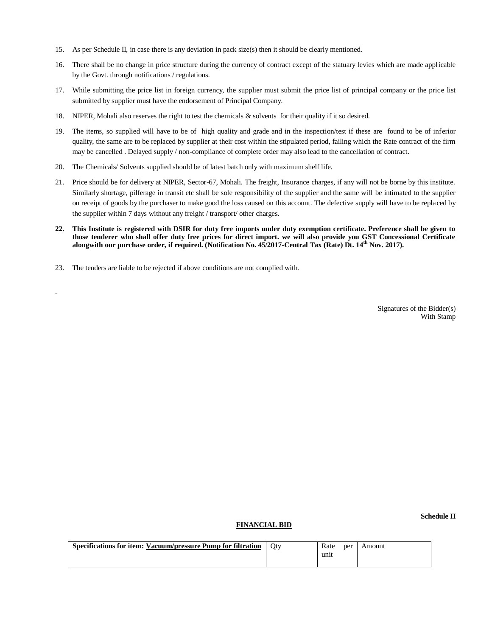- 15. As per Schedule II, in case there is any deviation in pack size(s) then it should be clearly mentioned.
- 16. There shall be no change in price structure during the currency of contract except of the statuary levies which are made applicable by the Govt. through notifications / regulations.
- 17. While submitting the price list in foreign currency, the supplier must submit the price list of principal company or the price list submitted by supplier must have the endorsement of Principal Company.
- 18. NIPER, Mohali also reserves the right to test the chemicals & solvents for their quality if it so desired.
- 19. The items, so supplied will have to be of high quality and grade and in the inspection/test if these are found to be of inferior quality, the same are to be replaced by supplier at their cost within the stipulated period, failing which the Rate contract of the firm may be cancelled . Delayed supply / non-compliance of complete order may also lead to the cancellation of contract.
- 20. The Chemicals/ Solvents supplied should be of latest batch only with maximum shelf life.
- 21. Price should be for delivery at NIPER, Sector-67, Mohali. The freight, Insurance charges, if any will not be borne by this institute. Similarly shortage, pilferage in transit etc shall be sole responsibility of the supplier and the same will be intimated to the supplier on receipt of goods by the purchaser to make good the loss caused on this account. The defective supply will have to be replaced by the supplier within 7 days without any freight / transport/ other charges.
- **22. This Institute is registered with DSIR for duty free imports under duty exemption certificate. Preference shall be given to those tenderer who shall offer duty free prices for direct import. we will also provide you GST Concessional Certificate alongwith our purchase order, if required. (Notification No. 45/2017-Central Tax (Rate) Dt. 14th Nov. 2017).**
- 23. The tenders are liable to be rejected if above conditions are not complied with.

.

Signatures of the Bidder(s) With Stamp

#### **FINANCIAL BID**

 **Schedule II** 

| Specifications for item: Vacuum/pressure Pump for filtration | Otv | Rate | per | Amount |
|--------------------------------------------------------------|-----|------|-----|--------|
|                                                              |     | unit |     |        |
|                                                              |     |      |     |        |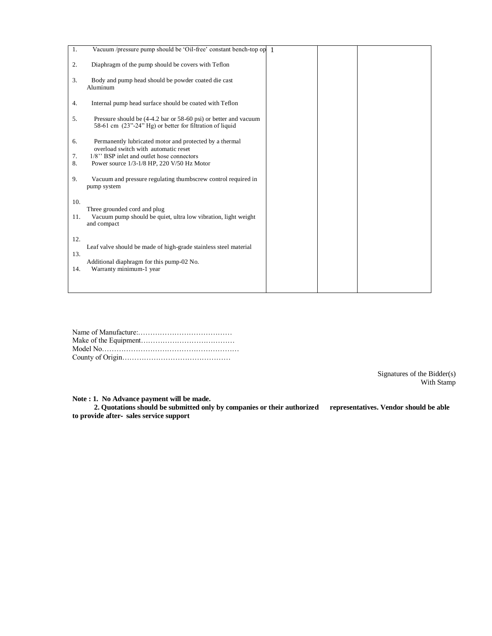| 1.  | Vacuum /pressure pump should be 'Oil-free' constant bench-top op 1                                                           |  |  |
|-----|------------------------------------------------------------------------------------------------------------------------------|--|--|
| 2.  | Diaphragm of the pump should be covers with Teflon                                                                           |  |  |
| 3.  | Body and pump head should be powder coated die cast<br>Aluminum                                                              |  |  |
| 4.  | Internal pump head surface should be coated with Teflon                                                                      |  |  |
| 5.  | Pressure should be (4-4.2 bar or 58-60 psi) or better and vacuum<br>58-61 cm (23"-24" Hg) or better for filtration of liquid |  |  |
| 6.  | Permanently lubricated motor and protected by a thermal<br>overload switch with automatic reset                              |  |  |
| 7.  | 1/8" BSP inlet and outlet hose connectors                                                                                    |  |  |
| 8.  | Power source 1/3-1/8 HP, 220 V/50 Hz Motor                                                                                   |  |  |
| 9.  | Vacuum and pressure regulating thumbscrew control required in<br>pump system                                                 |  |  |
| 10. |                                                                                                                              |  |  |
| 11. | Three grounded cord and plug<br>Vacuum pump should be quiet, ultra low vibration, light weight                               |  |  |
|     | and compact                                                                                                                  |  |  |
| 12. |                                                                                                                              |  |  |
| 13. | Leaf valve should be made of high-grade stainless steel material                                                             |  |  |
|     | Additional diaphragm for this pump-02 No.                                                                                    |  |  |
| 14. | Warranty minimum-1 year                                                                                                      |  |  |
|     |                                                                                                                              |  |  |

Signatures of the Bidder(s) With Stamp

**Note : 1. No Advance payment will be made.** 

 **2. Quotations should be submitted only by companies or their authorized representatives. Vendor should be able to provide after**‐ **sales service support**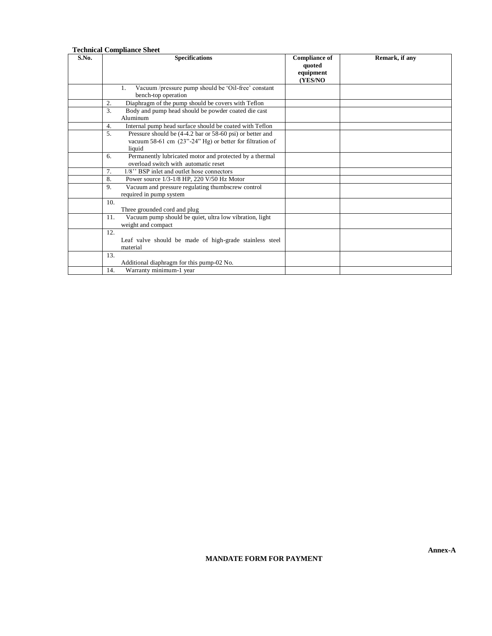|       | <b>Technical Compliance Sheet</b>                                                                                                                 |                                                        |                |
|-------|---------------------------------------------------------------------------------------------------------------------------------------------------|--------------------------------------------------------|----------------|
| S.No. | <b>Specifications</b>                                                                                                                             | <b>Compliance of</b><br>quoted<br>equipment<br>(YES/NO | Remark, if any |
|       | Vacuum /pressure pump should be 'Oil-free' constant<br>1.<br>bench-top operation                                                                  |                                                        |                |
|       | Diaphragm of the pump should be covers with Teflon<br>2.                                                                                          |                                                        |                |
|       | 3.<br>Body and pump head should be powder coated die cast<br>Aluminum                                                                             |                                                        |                |
|       | Internal pump head surface should be coated with Teflon<br>4.                                                                                     |                                                        |                |
|       | 5 <sub>1</sub><br>Pressure should be (4-4.2 bar or 58-60 psi) or better and<br>vacuum 58-61 cm (23"-24" Hg) or better for filtration of<br>liquid |                                                        |                |
|       | Permanently lubricated motor and protected by a thermal<br>6.<br>overload switch with automatic reset                                             |                                                        |                |
|       | 7.<br>1/8" BSP inlet and outlet hose connectors                                                                                                   |                                                        |                |
|       | Power source 1/3-1/8 HP, 220 V/50 Hz Motor<br>8.                                                                                                  |                                                        |                |
|       | Vacuum and pressure regulating thumbscrew control<br>9.<br>required in pump system                                                                |                                                        |                |
|       | 10.<br>Three grounded cord and plug                                                                                                               |                                                        |                |
|       | 11.<br>Vacuum pump should be quiet, ultra low vibration, light<br>weight and compact                                                              |                                                        |                |
|       | 12.<br>Leaf valve should be made of high-grade stainless steel<br>material                                                                        |                                                        |                |
|       | 13.<br>Additional diaphragm for this pump-02 No.                                                                                                  |                                                        |                |
|       | 14.<br>Warranty minimum-1 year                                                                                                                    |                                                        |                |

## **MANDATE FORM FOR PAYMENT**

**Annex-A**